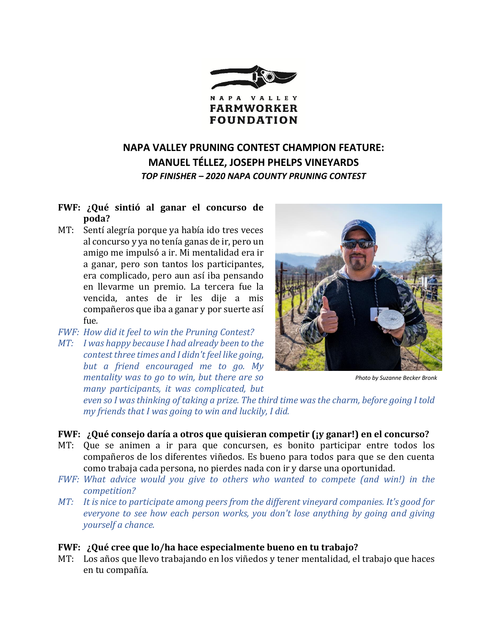

# **NAPA VALLEY PRUNING CONTEST CHAMPION FEATURE: MANUEL TÉLLEZ, JOSEPH PHELPS VINEYARDS** *TOP FINISHER – 2020 NAPA COUNTY PRUNING CONTEST*

## **FWF: ¿Qué sintió al ganar el concurso de poda?**

- MT: Sentí alegría porque ya había ido tres veces al concurso y ya no tenía ganas de ir, pero un amigo me impulsó a ir. Mi mentalidad era ir a ganar, pero son tantos los participantes, era complicado, pero aun así iba pensando en llevarme un premio. La tercera fue la vencida, antes de ir les dije a mis compañeros que iba a ganar y por suerte así fue*.*
- *FWF: How did it feel to win the Pruning Contest?*
- *MT: I was happy because I had already been to the contest three times and I didn't feel like going, but a friend encouraged me to go. My mentality was to go to win, but there are so many participants, it was complicated, but*



*Photo by Suzanne Becker Bronk*

*even so I was thinking of taking a prize. The third time was the charm, before going I told my friends that I was going to win and luckily, I did.* 

### **FWF: ¿Qué consejo daría a otros que quisieran competir (¡y ganar!) en el concurso?**

- MT: Que se animen a ir para que concursen, es bonito participar entre todos los compañeros de los diferentes viñedos. Es bueno para todos para que se den cuenta como trabaja cada persona, no pierdes nada con ir y darse una oportunidad*.*
- *FWF: What advice would you give to others who wanted to compete (and win!) in the competition?*
- *MT: It is nice to participate among peers from the different vineyard companies. It's good for everyone to see how each person works, you don't lose anything by going and giving yourself a chance.*

### **FWF: ¿Qué cree que lo/ha hace especialmente bueno en tu trabajo?**

MT: Los años que llevo trabajando en los viñedos y tener mentalidad, el trabajo que haces en tu compañía.